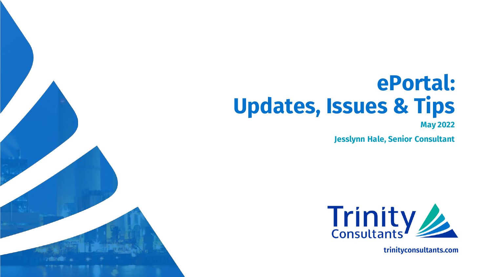# **ePortal: Updates, Issues & Tips**

**May 2022**

**Jesslynn Hale, Senior Consultant**



trinityconsultants.com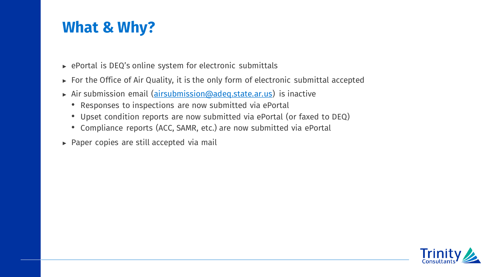### **What & Why?**

- ► ePortal is DEQ's online system for electronic submittals
- ► For the Office of Air Quality, it is the only form of electronic submittal accepted
- ► Air submission email (airsubmission@adeq.state.ar.us) is inactive
	- Responses to inspections are now submitted via ePortal
	- Upset condition reports are now submitted via ePortal (or faxed to DEQ)
	- Compliance reports (ACC, SAMR, etc.) are now submitted via ePortal
- ► Paper copies are still accepted via mail

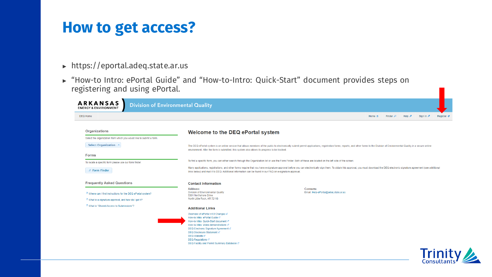#### **How to get access?**

- ► https://eportal.adeq.state.ar.us
- ► "How-to Intro: ePortal Guide" and "How-to-Intro: Quick-Start" document provides steps on registering and using ePortal.

| <b>ARKANSAS</b><br><b>ENERGY &amp; ENVIRONMENT</b>                  | <b>Division of Environmental Quality</b>                                                                                                                                                                                                                                        |                                                                                                                                                                                                                                |        |                     |        |         |                   |
|---------------------------------------------------------------------|---------------------------------------------------------------------------------------------------------------------------------------------------------------------------------------------------------------------------------------------------------------------------------|--------------------------------------------------------------------------------------------------------------------------------------------------------------------------------------------------------------------------------|--------|---------------------|--------|---------|-------------------|
| <b>DEQ Home</b>                                                     |                                                                                                                                                                                                                                                                                 |                                                                                                                                                                                                                                | Home & | Finder $\mathcal P$ | Help & | Sign In | <b>Register</b> ♦ |
| <b>Organizations</b>                                                | Welcome to the DEQ ePortal system                                                                                                                                                                                                                                               |                                                                                                                                                                                                                                |        |                     |        |         |                   |
| Select the organization from which you would like to submit a form. |                                                                                                                                                                                                                                                                                 |                                                                                                                                                                                                                                |        |                     |        |         |                   |
| Select Organization v                                               | environment. After the form is submitted, this system also allows its progress to be tracked.                                                                                                                                                                                   | The DEQ ePortal system is an online service that allows members of the public to electronically submit permit applications, registration forms, reports, and other forms to the Division of Environmental Quality in a secure  |        |                     |        |         |                   |
| <b>Forms</b>                                                        |                                                                                                                                                                                                                                                                                 |                                                                                                                                                                                                                                |        |                     |        |         |                   |
| To locate a specific form please use our form finder.               |                                                                                                                                                                                                                                                                                 | To find a specific form, you can either search through the Organization list or use the Form Finder. Both of these are located on the left side of the screen.                                                                 |        |                     |        |         |                   |
| P Form Finder                                                       | links below) and mail it to DEQ. Additional information can be found in our FAQ on e-signature approval.                                                                                                                                                                        | Many applications, registrations, and other forms require that you have e-signature approval before you can electronically sign them. To obtain this approval, you must download the DEQ electronic signature agreement (see a |        |                     |        |         |                   |
| <b>Frequently Asked Questions</b>                                   | <b>Contact Information</b>                                                                                                                                                                                                                                                      |                                                                                                                                                                                                                                |        |                     |        |         |                   |
| ? Where can I find instructions for the DEQ ePortal system?         | Address:<br><b>Division of Environmental Quality</b><br>5301 Northshore Drive                                                                                                                                                                                                   | Contacts:<br>Email: Help-ePortal@adeq.state.ar.us                                                                                                                                                                              |        |                     |        |         |                   |
| ? What is e-signature approval, and how do I get it?                | North Little Rock, AR 72118                                                                                                                                                                                                                                                     |                                                                                                                                                                                                                                |        |                     |        |         |                   |
| ? What is "Shared Access to Submissions"?                           | <b>Additional Links</b>                                                                                                                                                                                                                                                         |                                                                                                                                                                                                                                |        |                     |        |         |                   |
|                                                                     | Overview of ePortal v4.9 Changes c7                                                                                                                                                                                                                                             |                                                                                                                                                                                                                                |        |                     |        |         |                   |
|                                                                     | How-to Intro: ePortal Guide c?<br>How-to Intro: Quick-Start document c?<br>How-to Intro: Video demonstrations c7<br>DEQ Electronic Signature Agreement c7<br>DEQ Disclosure Statement c'<br>DEQ Website c7<br>DEQ Requlations of<br>DEQ Facility and Permit Summary Database c' |                                                                                                                                                                                                                                |        |                     |        |         |                   |

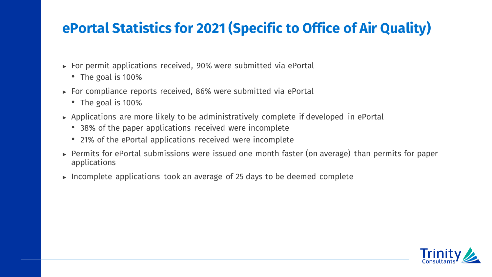### **ePortal Statistics for 2021 (Specific to Office of Air Quality)**

- ► For permit applications received, 90% were submitted via ePortal
	- The goal is 100%
- ► For compliance reports received, 86% were submitted via ePortal
	- The goal is 100%
- ► Applications are more likely to be administratively complete if developed in ePortal
	- 38% of the paper applications received were incomplete
	- 21% of the ePortal applications received were incomplete
- ► Permits for ePortal submissions were issued one month faster (on average) than permits for paper applications
- ► Incomplete applications took an average of 25 days to be deemed complete

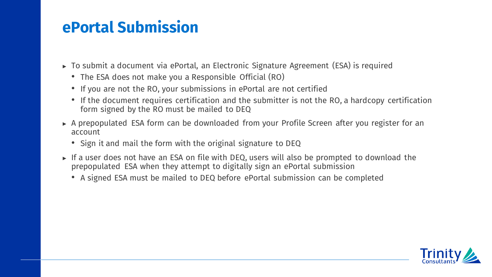### **ePortal Submission**

- ► To submit a document via ePortal, an Electronic Signature Agreement (ESA) is required
	- The ESA does not make you a Responsible Official (RO)
	- If you are not the RO, your submissions in ePortal are not certified
	- If the document requires certification and the submitter is not the RO, a hardcopy certification form signed by the RO must be mailed to DEQ
- ► A prepopulated ESA form can be downloaded from your Profile Screen after you register for an account
	- Sign it and mail the form with the original signature to DEQ
- ► If a user does not have an ESA on file with DEQ, users will also be prompted to download the prepopulated ESA when they attempt to digitally sign an ePortal submission
	- A signed ESA must be mailed to DEQ before ePortal submission can be completed

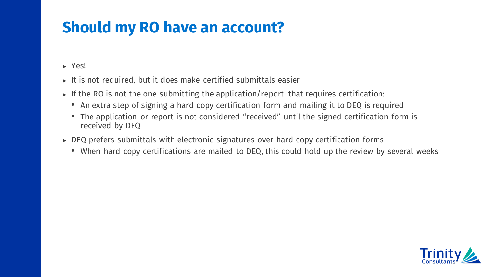# **Should my RO have an account?**

► Yes!

- $\triangleright$  It is not required, but it does make certified submittals easier
- $\triangleright$  If the RO is not the one submitting the application/report that requires certification:
	- An extra step of signing a hard copy certification form and mailing it to DEQ is required
	- The application or report is not considered "received" until the signed certification form is received by DEQ
- ► DEQ prefers submittals with electronic signatures over hard copy certification forms
	- When hard copy certifications are mailed to DEQ, this could hold up the review by several weeks

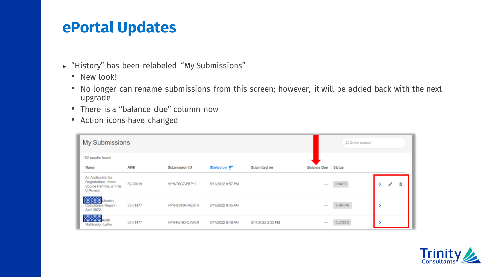#### **ePortal Updates**

- ► "History" has been relabeled "My Submissions"
	- New look!
	- No longer can rename submissions from this screen; however, it will be added back with the next upgrade
	- There is a "balance due" column now
	- Action icons have changed

| My Submissions                                                                       |             |                |                     |                   |                                                                                                                                                                                                                                                                                                                                                                                                                                                                            | O Quick search |        |
|--------------------------------------------------------------------------------------|-------------|----------------|---------------------|-------------------|----------------------------------------------------------------------------------------------------------------------------------------------------------------------------------------------------------------------------------------------------------------------------------------------------------------------------------------------------------------------------------------------------------------------------------------------------------------------------|----------------|--------|
| 182 results found                                                                    |             |                |                     |                   |                                                                                                                                                                                                                                                                                                                                                                                                                                                                            |                |        |
| Name                                                                                 | <b>AFIN</b> | Submission ID  | Started on $\equiv$ | Submitted on      | <b>Balance Due</b>                                                                                                                                                                                                                                                                                                                                                                                                                                                         | <b>Status</b>  |        |
| Air Application for<br>Registrations, Minor<br>Source Permits, or Title<br>V Permits | 52-00019    | HPH-T0G7-FKP19 | 5/19/2022 8:57 PM   |                   | $\frac{1}{2}$                                                                                                                                                                                                                                                                                                                                                                                                                                                              | <b>DRAFT</b>   | 亩<br>I |
| Monthly<br>Compliance Report -<br>April 2022                                         | 35-01477    | HPH-SMRR-ME0FH | 5/19/2022 9:45 AM   |                   | $\frac{1}{2} \left( \frac{1}{2} \right) \left( \frac{1}{2} \right) \left( \frac{1}{2} \right) \left( \frac{1}{2} \right) \left( \frac{1}{2} \right) \left( \frac{1}{2} \right) \left( \frac{1}{2} \right) \left( \frac{1}{2} \right) \left( \frac{1}{2} \right) \left( \frac{1}{2} \right) \left( \frac{1}{2} \right) \left( \frac{1}{2} \right) \left( \frac{1}{2} \right) \left( \frac{1}{2} \right) \left( \frac{1}{2} \right) \left( \frac{1}{2} \right) \left( \frac$ | SIGNING        |        |
| Notification Letter                                                                  | 35-01477    | HPH-R2HD-C5WBR | 5/17/2022 9:48 AM   | 5/17/2022 2:33 PM | $\frac{1}{2} \left( \frac{1}{2} \right) \left( \frac{1}{2} \right) \left( \frac{1}{2} \right) \left( \frac{1}{2} \right) \left( \frac{1}{2} \right) \left( \frac{1}{2} \right) \left( \frac{1}{2} \right) \left( \frac{1}{2} \right) \left( \frac{1}{2} \right) \left( \frac{1}{2} \right) \left( \frac{1}{2} \right) \left( \frac{1}{2} \right) \left( \frac{1}{2} \right) \left( \frac{1}{2} \right) \left( \frac{1}{2} \right) \left( \frac{1}{2} \right) \left( \frac$ | CLOSED         |        |

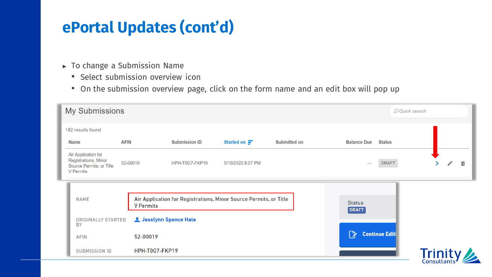# **ePortal Updates (cont'd)**

- ► To change a Submission Name
	- Select submission overview icon
	- On the submission overview page, click on the form name and an edit box will pop up

| <b>My Submissions</b>                                                                       |                        |                      |                                                                   |                     |                        |                       | O Quick search |   |   |
|---------------------------------------------------------------------------------------------|------------------------|----------------------|-------------------------------------------------------------------|---------------------|------------------------|-----------------------|----------------|---|---|
| 182 results found                                                                           |                        |                      |                                                                   |                     |                        |                       |                |   |   |
| <b>AFIN</b><br><b>Name</b>                                                                  |                        | <b>Submission ID</b> | Started on $\blacksquare$                                         | <b>Submitted on</b> | <b>Balance Due</b>     | <b>Status</b>         |                |   |   |
| Air Application for<br>Registrations, Minor<br>Source Permits, or Title<br><b>V</b> Permits | 52-00019               | HPH-T0G7-FKP19       | 5/19/2022 8:57 PM                                                 |                     |                        | <b>DRAFT</b>          |                | Ĩ | 靣 |
| <b>NAME</b>                                                                                 | <b>V</b> Permits       |                      | Air Application for Registrations, Minor Source Permits, or Title |                     | <b>Status</b><br>DRAFT |                       |                |   |   |
| <b>ORIGINALLY STARTED</b><br><b>BY</b>                                                      | L Jesslynn Spence Hale |                      |                                                                   |                     |                        |                       |                |   |   |
| <b>AFIN</b>                                                                                 | 52-00019               |                      |                                                                   |                     | ेरे                    | <b>Continue Editi</b> |                |   |   |
| <b>SUBMISSION ID</b>                                                                        | HPH-T0G7-FKP19         |                      |                                                                   |                     |                        |                       | <b>Trinity</b> |   |   |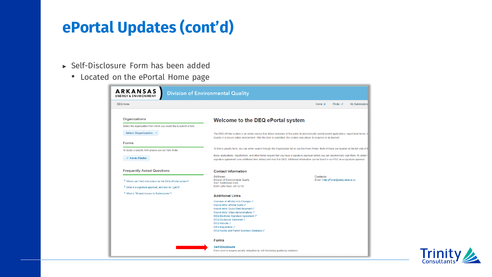### **ePortal Updates (cont'd)**

- ► Self-Disclosure Form has been added
	- Located on the ePortal Home page

| <b>ARKANSAS</b><br><b>ENERGY &amp; ENVIRONMENT</b>                                                                                                       | <b>Division of Environmental Quality</b>                                                                                                                                                                                                                                                                               |           |                                      |                |
|----------------------------------------------------------------------------------------------------------------------------------------------------------|------------------------------------------------------------------------------------------------------------------------------------------------------------------------------------------------------------------------------------------------------------------------------------------------------------------------|-----------|--------------------------------------|----------------|
| <b>DEO Home</b>                                                                                                                                          |                                                                                                                                                                                                                                                                                                                        | Home A    | Finder $\rho$                        | My Submissions |
| <b>Organizations</b>                                                                                                                                     | Welcome to the DEQ ePortal system                                                                                                                                                                                                                                                                                      |           |                                      |                |
| Select the organization from which you would like to submit a form.                                                                                      |                                                                                                                                                                                                                                                                                                                        |           |                                      |                |
| Select Organization v                                                                                                                                    | The DEQ ePortal system is an online service that allows members of the public to electronically submit permit applications, registration forms, r<br>Quality in a secure online environment. After the form is submitted, this system also allows its progress to be tracked.                                          |           |                                      |                |
| <b>Forms</b>                                                                                                                                             |                                                                                                                                                                                                                                                                                                                        |           |                                      |                |
| To locate a specific form please use our form finder.                                                                                                    | To find a specific form, you can either search through the Organization list or use the Form Finder. Both of these are located on the left side of th                                                                                                                                                                  |           |                                      |                |
| $P$ Form Finder                                                                                                                                          | Many applications, registrations, and other forms require that you have e-signature approval before you can electronically sign them. To obtain t<br>signature agreement (see additional links below) and mail it to DEQ. Additional information can be found in our FAQ on e-signature approval.                      |           |                                      |                |
| <b>Frequently Asked Questions</b><br>? Where can I find instructions for the DEQ ePortal system?<br>? What is e-signature approval, and how do I get it? | <b>Contact Information</b><br>Address:<br>Division of Environmental Quality<br>5301 Northshore Drive<br>North Little Rock, AR 72118                                                                                                                                                                                    | Contacts: | Email: Help-ePortal@adeq.state.ar.us |                |
| ? What is "Shared Access to Submissions"?                                                                                                                | <b>Additional Links</b>                                                                                                                                                                                                                                                                                                |           |                                      |                |
|                                                                                                                                                          | Overview of ePortal v4.9 Changes c7<br>How-to Intro: ePortal Guide c7<br>How-to Intro: Quick-Start document c'<br>How-to Intro: Video demonstrations c7<br>DEQ Electronic Signature Agreement of<br>DEQ Disclosure Statement c'<br>DEQ Website c'<br>DEQ Requlations c?<br>DEQ Facility and Permit Summary Database c7 |           |                                      |                |
|                                                                                                                                                          | <b>Forms</b>                                                                                                                                                                                                                                                                                                           |           |                                      |                |
|                                                                                                                                                          | <b>Self-Disclosure</b><br>Form used to request penalty mitigation by self-disclosing qualifying violations                                                                                                                                                                                                             |           |                                      |                |

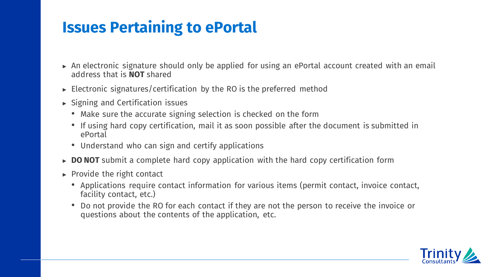## **Issues Pertaining to ePortal**

- ► An electronic signature should only be applied for using an ePortal account created with an email address that is **NOT** shared
- $\triangleright$  Electronic signatures/certification by the RO is the preferred method
- ► Signing and Certification issues
	- Make sure the accurate signing selection is checked on the form
	- If using hard copy certification, mail it as soon possible after the document is submitted in ePortal
	- Understand who can sign and certify applications
- ► **DO NOT** submit a complete hard copy application with the hard copy certification form
- $\triangleright$  Provide the right contact
	- Applications require contact information for various items (permit contact, invoice contact, facility contact, etc.)
	- Do not provide the RO for each contact if they are not the person to receive the invoice or questions about the contents of the application, etc.

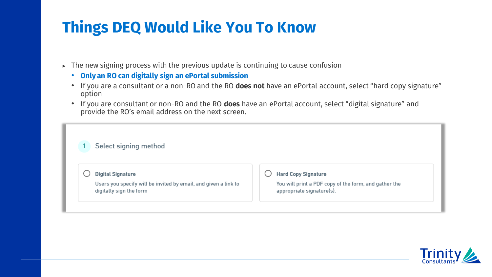# **Things DEQ Would Like You To Know**

- ► The new signing process with the previous update is continuing to cause confusion
	- **Only an RO can digitally sign an ePortal submission**
	- If you are a consultant or a non-RO and the RO **does not** have an ePortal account, select "hard copy signature" option
	- If you are consultant or non-RO and the RO **does** have an ePortal account, select "digital signature" and provide the RO's email address on the next screen.

| Select signing method                                                                      |                                                                                    |
|--------------------------------------------------------------------------------------------|------------------------------------------------------------------------------------|
| <b>Digital Signature</b>                                                                   | <b>Hard Copy Signature</b>                                                         |
| Users you specify will be invited by email, and given a link to<br>digitally sign the form | You will print a PDF copy of the form, and gather the<br>appropriate signature(s). |

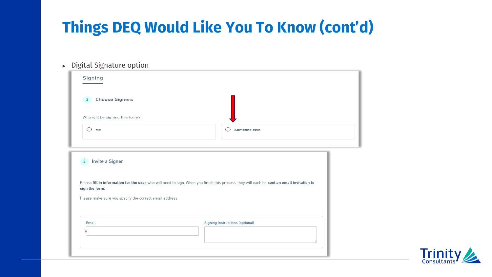# **Things DEQ Would Like You To Know (cont'd)**

► Digital Signature option

| Signing                                                                                                                                                                                                                          |                                        |  |
|----------------------------------------------------------------------------------------------------------------------------------------------------------------------------------------------------------------------------------|----------------------------------------|--|
| <b>Choose Signers</b><br>$2^{\circ}$                                                                                                                                                                                             |                                        |  |
| Who will be signing this form?                                                                                                                                                                                                   |                                        |  |
| Me                                                                                                                                                                                                                               | Someone else                           |  |
| Invite a Signer<br>$\overline{3}$                                                                                                                                                                                                |                                        |  |
|                                                                                                                                                                                                                                  |                                        |  |
| Please fill in information for the user who will need to sign. When you finish this process, they will each be sent an email invitation to<br>sign the form.<br>Please make sure you specify the correct email address.<br>Email | <b>Signing Instructions (optional)</b> |  |

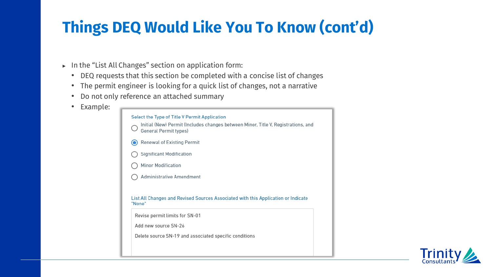# **Things DEQ Would Like You To Know (cont'd)**

- ► In the "List All Changes" section on application form:
	- DEQ requests that this section be completed with a concise list of changes
	- The permit engineer is looking for a quick list of changes, not a narrative
	- Do not only reference an attached summary
	- Example:

| Select the Type of Title V Permit Application<br>Initial (New) Permit (Includes changes between Minor, Title V, Registrations, and<br>General Permit types)                                                     |
|-----------------------------------------------------------------------------------------------------------------------------------------------------------------------------------------------------------------|
| <b>Renewal of Existing Permit</b>                                                                                                                                                                               |
| Significant Modification                                                                                                                                                                                        |
| <b>Minor Modification</b>                                                                                                                                                                                       |
| Administrative Amendment                                                                                                                                                                                        |
| List All Changes and Revised Sources Associated with this Application or Indicate<br>"None"<br>Revise permit limits for SN-01<br>Add new source SN-26<br>Delete source SN-19 and associated specific conditions |

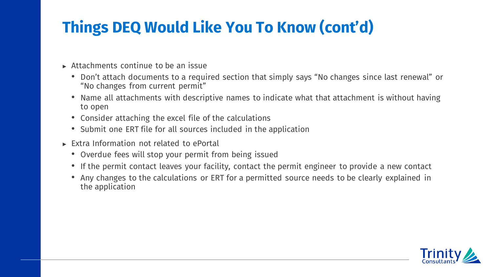# **Things DEQ Would Like You To Know (cont'd)**

- ► Attachments continue to be an issue
	- Don't attach documents to a required section that simply says "No changes since last renewal" or "No changes from current permit"
	- Name all attachments with descriptive names to indicate what that attachment is without having to open
	- Consider attaching the excel file of the calculations
	- Submit one ERT file for all sources included in the application
- ► Extra Information not related to ePortal
	- Overdue fees will stop your permit from being issued
	- If the permit contact leaves your facility, contact the permit engineer to provide a new contact
	- Any changes to the calculations or ERT for a permitted source needs to be clearly explained in the application

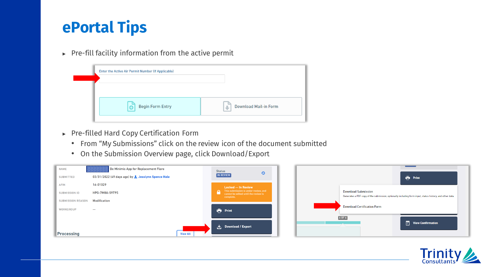# **ePortal Tips**

► Pre-fill facility information from the active permit

| Enter the Active Air Permit Number (If Applicable) |                              |
|----------------------------------------------------|------------------------------|
|                                                    |                              |
| <b>Begin Form Entry</b>                            | <b>Download Mail-in Form</b> |

- ► Pre-filled Hard Copy Certification Form
	- From "My Submissions" click on the review icon of the document submitted
	- On the Submission Overview page, click Download/Export



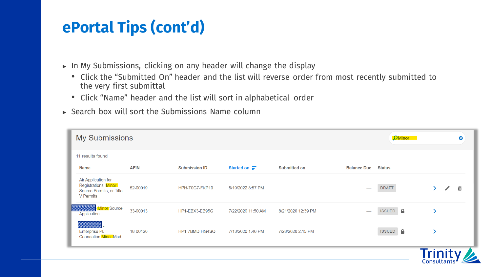# **ePortal Tips (cont'd)**

- ► In My Submissions, clicking on any header will change the display
	- Click the "Submitted On" header and the list will reverse order from most recently submitted to the very first submittal
	- Click "Name" header and the list will sort in alphabetical order
- $\rightarrow$  Search box will sort the Submissions Name column

| <b>My Submissions</b>                                                                       |             |                      |                           |                     |                          | <b>O</b> Minor             |         | Ø |
|---------------------------------------------------------------------------------------------|-------------|----------------------|---------------------------|---------------------|--------------------------|----------------------------|---------|---|
| 11 results found                                                                            |             |                      |                           |                     |                          |                            |         |   |
| <b>Name</b>                                                                                 | <b>AFIN</b> | <b>Submission ID</b> | Started on $\blacksquare$ | <b>Submitted on</b> | <b>Balance Due</b>       | <b>Status</b>              |         |   |
| Air Application for<br>Registrations, Minor<br>Source Permits, or Title<br><b>V</b> Permits | 52-00019    | HPH-T0G7-FKP19       | 5/19/2022 8:57 PM         |                     |                          | <b>DRAFT</b>               | D,      | 靣 |
| Minor Source<br><u> Estados de </u><br>Application                                          | 33-00013    | HP1-EBX3-EB95G       | 7/22/2020 11:50 AM        | 8/21/2020 12:39 PM  |                          | $\bullet$<br><b>ISSUED</b> |         |   |
| <b>Enterprise PL</b><br><b>Connection Minor Mod</b>                                         | 18-00120    | HP1-7BMD-HG4SQ       | 7/13/2020 1:46 PM         | 7/28/2020 2:15 PM   | $\overline{\phantom{a}}$ | $\bullet$<br><b>ISSUED</b> |         |   |
|                                                                                             |             |                      |                           |                     |                          |                            | Trinity |   |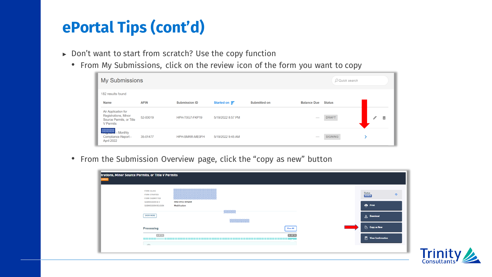# **ePortal Tips (cont'd)**

- ► Don't want to start from scratch? Use the copy function
	- From My Submissions, click on the review icon of the form you want to copy

| <b>My Submissions</b>                                                                       |             |                      |                     |                     |                          | O Quick search |        |
|---------------------------------------------------------------------------------------------|-------------|----------------------|---------------------|---------------------|--------------------------|----------------|--------|
| 182 results found                                                                           |             |                      |                     |                     |                          |                |        |
| <b>Name</b>                                                                                 | <b>AFIN</b> | <b>Submission ID</b> | Started on $\equiv$ | <b>Submitted on</b> | <b>Balance Due</b>       | <b>Status</b>  |        |
| Air Application for<br>Registrations, Minor<br>Source Permits, or Title<br><b>V</b> Permits | 52-00019    | HPH-T0G7-FKP19       | 5/19/2022 8:57 PM   |                     | $\overline{\phantom{a}}$ | <b>DRAFT</b>   | 亩<br>p |
| <b>REGISTER</b> - Monthly<br>Compliance Report -<br>April 2022                              | 35-01477    | HPH-SMRR-ME0FH       | 5/19/2022 9:45 AM   |                     | $\overline{\phantom{a}}$ | <b>SIGNING</b> |        |

• From the Submission Overview page, click the "copy as new" button

| <b>FORM ALIAS</b><br><b>FORM STARTED</b><br><b>FORM SUBMITTED</b> |                                |                        |                 | <b>Status</b><br>$\circ$<br><b>ISSUED</b> |
|-------------------------------------------------------------------|--------------------------------|------------------------|-----------------|-------------------------------------------|
| SUBMISSION ID #<br>SUBMISSION REASON                              | HND-R93J-RVQ5M<br>Modification |                        |                 | <b>Print</b>                              |
| <b>SHOW MORE</b>                                                  |                                | *****<br>3888888888888 |                 | 也 Download                                |
| Processing                                                        |                                |                        | <b>View All</b> | Copy as New                               |
| <b>4 OF 54</b>                                                    |                                |                        | <b>54 OF 54</b> | $\boxed{\square}$ View Confirmation       |

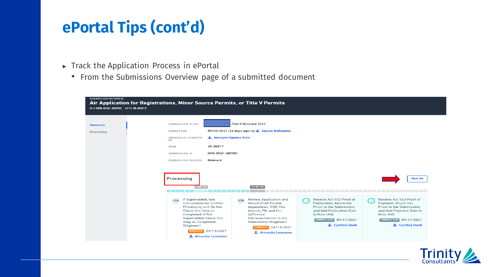## **ePortal Tips (cont'd)**

- ► Track the Application Process in ePortal
	- From the Submissions Overview page of a submitted document

| <b>Summary</b>    | Title V Renewal 2021-<br><b>SUBMISSION ALIAS</b>                                                                                                                                                                                                                                                                                                                                                                                                                                                                                                                                                                                                                                                                                                                                                                                                                                |
|-------------------|---------------------------------------------------------------------------------------------------------------------------------------------------------------------------------------------------------------------------------------------------------------------------------------------------------------------------------------------------------------------------------------------------------------------------------------------------------------------------------------------------------------------------------------------------------------------------------------------------------------------------------------------------------------------------------------------------------------------------------------------------------------------------------------------------------------------------------------------------------------------------------|
| <b>Processing</b> | 09/03/2021 (26 days ago) by <b>2</b> Jayson Ballentine<br><b>SUBMITTED</b>                                                                                                                                                                                                                                                                                                                                                                                                                                                                                                                                                                                                                                                                                                                                                                                                      |
|                   | L Jesslynn Spence Hale<br><b>ORIGINALLY STARTED</b><br><b>BY</b>                                                                                                                                                                                                                                                                                                                                                                                                                                                                                                                                                                                                                                                                                                                                                                                                                |
|                   | 20-00017<br><b>AFIN</b>                                                                                                                                                                                                                                                                                                                                                                                                                                                                                                                                                                                                                                                                                                                                                                                                                                                         |
|                   | HPB-85Q1-MDYKC<br><b>SUBMISSION ID</b>                                                                                                                                                                                                                                                                                                                                                                                                                                                                                                                                                                                                                                                                                                                                                                                                                                          |
|                   | Renewal<br><b>SUBMISSION REASON</b>                                                                                                                                                                                                                                                                                                                                                                                                                                                                                                                                                                                                                                                                                                                                                                                                                                             |
|                   |                                                                                                                                                                                                                                                                                                                                                                                                                                                                                                                                                                                                                                                                                                                                                                                                                                                                                 |
|                   | <b>Processing</b><br><b>View All</b><br>17 OF 52<br>7 OF 52                                                                                                                                                                                                                                                                                                                                                                                                                                                                                                                                                                                                                                                                                                                                                                                                                     |
|                   |                                                                                                                                                                                                                                                                                                                                                                                                                                                                                                                                                                                                                                                                                                                                                                                                                                                                                 |
|                   | If Superceded, See<br><b>Review Application and</b><br>Receive Act 163 Proof of<br>Receive Act 163 Proof of<br><b>17B</b><br>17A<br>$\bullet$<br>$\sim$<br><b>Instructions for Further</b><br><b>Attach Draft Permit,</b><br><b>Publication, Attach the</b><br>Payment, Attach the<br>Proof to the Submission,<br><b>Processing and Do Not</b><br>Appendices, SOB, Fee,<br>Proof to the Submission,<br><b>Check this Step as</b><br>Invoice, PN, and Un-<br>and Add Publication Date<br>and Add Payment Date to<br><b>Completed. If Not</b><br>to Note (AA)<br>Note (AA)<br><b>ZyPrinted</b><br>Superceded, Check this<br>Correspondence to the<br>COMPLETED 09/17/2021<br>COMPLETED 09/17/2021<br>Step as Completed.<br><b>Submission (Engineer)</b><br><b>2</b> Cynthia Hook<br><b>L</b> Cynthia Hook<br>(Engineer)<br><b>OVERDUE</b> 09/13/2021<br><b>OVERDUE</b> 09/13/2021 |

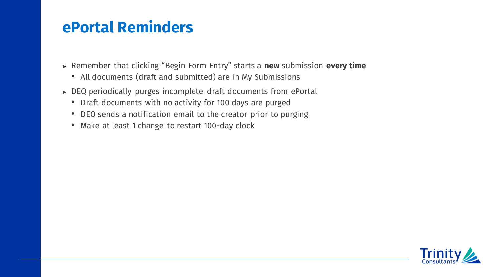### **ePortal Reminders**

- ► Remember that clicking "Begin Form Entry" starts a **new** submission **every time**
	- All documents (draft and submitted) are in My Submissions
- ► DEQ periodically purges incomplete draft documents from ePortal
	- Draft documents with no activity for 100 days are purged
	- DEQ sends a notification email to the creator prior to purging
	- Make at least 1 change to restart 100-day clock

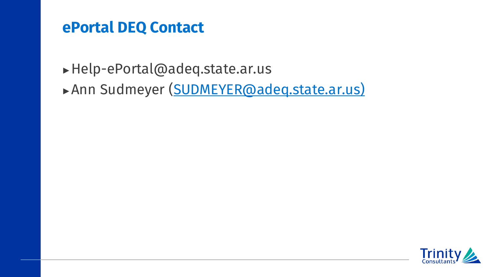#### **ePortal DEQ Contact**

- ►Help-ePortal@adeq.state.ar.us
- ►Ann Sudmeyer (SUDMEYER@adeq.state.ar.us)